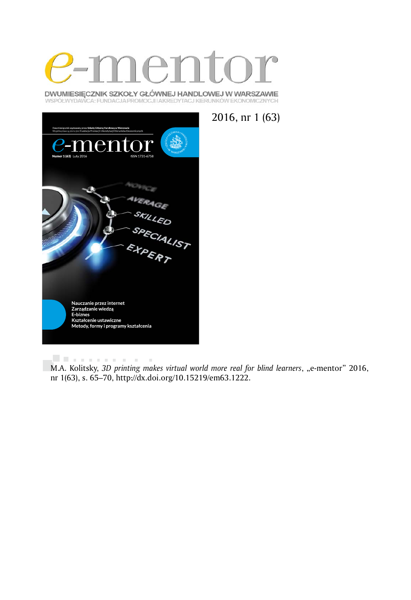

DWUMIESIĘCZNIK SZKOŁY GŁÓWNEJ HANDLOWEJ W WARSZAWIE WSPÓŁWYDAWCA: FUNDACJA PROMOCJI I AKREDYTACJ KIERUNKÓW EKONOMICZNYCH

2016, nr 1 (63)



. . . . . . . . . . .  $\sim$  10 M.A. Kolitsky, 3D printing makes virtual world more real for blind learners, "e-mentor" 2016, nr 1(63), s. 65–70, http://dx.doi.org/10.15219/em63.1222.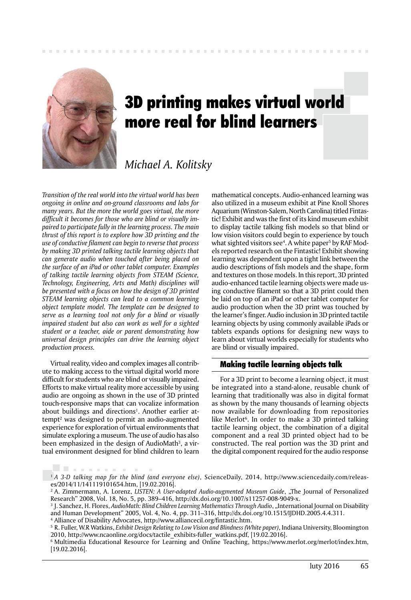

# 3D printing makes virtual world more real for blind learners

# *Michael A. Kolitsky*

*Transition of the real world into the virtual world has been ongoing in online and on-ground classrooms and labs for many years. But the more the world goes virtual, the more difficult it becomes for those who are blind or visually impaired to participate fully in the learning process. The main thrust of this report is to explore how 3D printing and the use of conductive filament can begin to reverse that process by making 3D printed talking tactile learning objects that can generate audio when touched after being placed on the surface of an iPad or other tablet computer. Examples of talking tactile learning objects from STEAM (Science, Technology, Engineering, Arts and Math) disciplines will be presented with a focus on how the design of 3D printed STEAM learning objects can lead to a common learning object template model. The template can be designed to serve as a learning tool not only for a blind or visually impaired student but also can work as well for a sighted student or a teacher, aide or parent demonstrating how universal design principles can drive the learning object production process.* 

Virtual reality, video and complex images all contribute to making access to the virtual digital world more difficult for students who are blind or visually impaired. Efforts to make virtual reality more accessible by using audio are ongoing as shown in the use of 3D printed touch-responsive maps that can vocalize information about buildings and directions<sup>1</sup>. Another earlier attempt2 was designed to permit an audio-augmented experience for exploration of virtual environments that simulate exploring a museum. The use of audio has also been emphasized in the design of AudioMath<sup>3</sup>, a virtual environment designed for blind children to learn

. . . . . . . . .

mathematical concepts. Audio-enhanced learning was also utilized in a museum exhibit at Pine Knoll Shores Aquarium (Winston-Salem, North Carolina) titled Fintastic! Exhibit and was the first of its kind museum exhibit to display tactile talking fish models so that blind or low vision visitors could begin to experience by touch what sighted visitors see4 . A white paper5 by RAF Models reported research on the Fintastic! Exhibit showing learning was dependent upon a tight link between the audio descriptions of fish models and the shape, form and textures on those models. In this report, 3D printed audio-enhanced tactile learning objects were made using conductive filament so that a 3D print could then be laid on top of an iPad or other tablet computer for audio production when the 3D print was touched by the learner's finger. Audio inclusion in 3D printed tactile learning objects by using commonly available iPads or tablets expands options for designing new ways to learn about virtual worlds especially for students who are blind or visually impaired.

# Making tactile learning objects talk

For a 3D print to become a learning object, it must be integrated into a stand-alone, reusable chunk of learning that traditionally was also in digital format as shown by the many thousands of learning objects now available for downloading from repositories like Merlot<sup>6</sup>. In order to make a 3D printed talking tactile learning object, the combination of a digital component and a real 3D printed object had to be constructed. The real portion was the 3D print and the digital component required for the audio response

1 *A 3-D talking map for the blind (and everyone else)*, ScienceDaily, 2014, http://www.sciencedaily.com/releases/2014/11/141119101654.htm, [19.02.2016].

6 Multimedia Educational Resource for Learning and Online Teaching, https://www.merlot.org/merlot/index.htm, [19.02.2016].

<sup>&</sup>lt;sup>2</sup> A. Zimmermann, A. Lorenz, *LISTEN: A User-adapted Audio-augmented Museum Guide*, "The Journal of Personalized Research" 2008, Vol. 18, No. 5, pp. 389–416, http://dx.doi.org/10.1007/s11257-008-9049-x.

<sup>&</sup>lt;sup>3</sup> J. Sanchez, H. Flores, *AudioMath: Blind Children Learning Mathematics Through Audio*, "International Journal on Disability and Human Development" 2005, Vol. 4, No. 4, pp. 311–316, http://dx.doi.org/10.1515/IJDHD.2005.4.4.311. 4 Alliance of Disability Advocates, http://www.alliancecil.org/fintastic.htm.

<sup>5</sup> R. Fuller, W.R Watkins, *Exhibit Design Relating to Low Vision and Blindness (White paper)*, Indiana University, Bloomington 2010, http://www.ncaonline.org/docs/tactile\_exhibits-fuller\_watkins.pdf, [19.02.2016].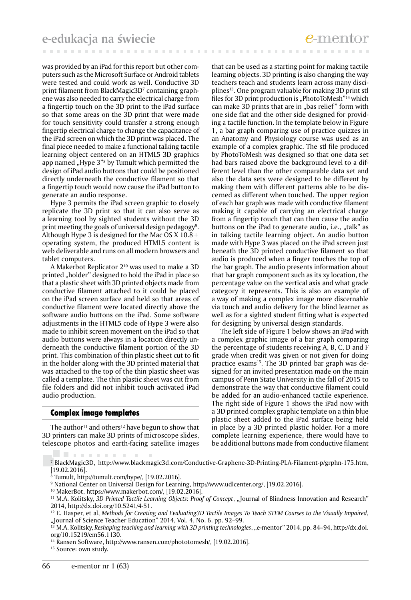was provided by an iPad for this report but other computers such as the Microsoft Surface or Android tablets were tested and could work as well. Conductive 3D print filament from BlackMagic3D<sup>7</sup> containing graphene was also needed to carry the electrical charge from a fingertip touch on the 3D print to the iPad surface so that some areas on the 3D print that were made for touch sensitivity could transfer a strong enough fingertip electrical charge to change the capacitance of the iPad screen on which the 3D print was placed. The final piece needed to make a functional talking tactile learning object centered on an HTML5 3D graphics app named "Hype 3"<sup>8</sup> by Tumult which permitted the design of iPad audio buttons that could be positioned directly underneath the conductive filament so that a fingertip touch would now cause the iPad button to generate an audio response.

Hype 3 permits the iPad screen graphic to closely replicate the 3D print so that it can also serve as a learning tool by sighted students without the 3D print meeting the goals of universal design pedagogy<sup>9</sup>. Although Hype 3 is designed for the Mac OS X 10.8+ operating system, the produced HTML5 content is web deliverable and runs on all modern browsers and tablet computers.

A Makerbot Replicator 210 was used to make a 3D printed "holder" designed to hold the iPad in place so that a plastic sheet with 3D printed objects made from conductive filament attached to it could be placed on the iPad screen surface and held so that areas of conductive filament were located directly above the software audio buttons on the iPad. Some software adjustments in the HTML5 code of Hype 3 were also made to inhibit screen movement on the iPad so that audio buttons were always in a location directly underneath the conductive filament portion of the 3D print. This combination of thin plastic sheet cut to fit in the holder along with the 3D printed material that was attached to the top of the thin plastic sheet was called a template. The thin plastic sheet was cut from file folders and did not inhibit touch activated iPad audio production.

# Complex image templates

The author<sup>11</sup> and others<sup>12</sup> have begun to show that 3D printers can make 3D prints of microscope slides, telescope photos and earth-facing satellite images

that can be used as a starting point for making tactile learning objects. 3D printing is also changing the way teachers teach and students learn across many disciplines13. One program valuable for making 3D print stl files for 3D print production is "PhotoToMesh"<sup>14</sup> which can make 3D prints that are in "bas relief" form with one side flat and the other side designed for providing a tactile function. In the template below in Figure 1, a bar graph comparing use of practice quizzes in an Anatomy and Physiology course was used as an example of a complex graphic. The stl file produced by PhotoToMesh was designed so that one data set had bars raised above the background level to a different level than the other comparable data set and also the data sets were designed to be different by making them with different patterns able to be discerned as different when touched. The upper region of each bar graph was made with conductive filament making it capable of carrying an electrical charge from a fingertip touch that can then cause the audio buttons on the iPad to generate audio, i.e., "talk" as in talking tactile learning object. An audio button made with Hype 3 was placed on the iPad screen just beneath the 3D printed conductive filament so that audio is produced when a finger touches the top of the bar graph. The audio presents information about that bar graph component such as its xy location, the percentage value on the vertical axis and what grade category it represents. This is also an example of a way of making a complex image more discernable via touch and audio delivery for the blind learner as well as for a sighted student fitting what is expected for designing by universal design standards.

The left side of Figure 1 below shows an iPad with a complex graphic image of a bar graph comparing the percentage of students receiving A, B, C, D and F grade when credit was given or not given for doing practice exams<sup>15</sup>. The 3D printed bar graph was designed for an invited presentation made on the main campus of Penn State University in the fall of 2015 to demonstrate the way that conductive filament could be added for an audio-enhanced tactile experience. The right side of Figure 1 shows the iPad now with a 3D printed complex graphic template on a thin blue plastic sheet added to the iPad surface being held in place by a 3D printed plastic holder. For a more complete learning experience, there would have to be additional buttons made from conductive filament

<sup>15</sup> Source: own study.

<sup>7</sup> BlackMagic3D, http://www.blackmagic3d.com/Conductive-Graphene-3D-Printing-PLA-Filament-p/grphn-175.htm, [19.02.2016].

<sup>8</sup> Tumult, http://tumult.com/hype/, [19.02.2016].

<sup>9</sup> National Center on Universal Design for Learning, http://www.udlcenter.org/, [19.02.2016].

<sup>10</sup> MakerBot, https://www.makerbot.com/, [19.02.2016].

<sup>&</sup>lt;sup>11</sup> M.A. Kolitsky, *3D Printed Tactile Learning Objects: Proof of Concept*, "Journal of Blindness Innovation and Research" 2014, http://dx.doi.org/10.5241/4-51.

<sup>12</sup> E. Hasper, et al, *Methods for Creating and Evaluating3D Tactile Images To Teach STEM Courses to the Visually Impaired*, "Journal of Science Teacher Education" 2014, Vol. 4, No. 6. pp. 92–99.<br><sup>13</sup> M A. Kolitaky Backsvin (1) Western 1.

<sup>13</sup> M.A. Kolitsky, *Reshaping teaching and learning with 3D printing technologies*, "e-mentor" 2014, pp. 84–94, http://dx.doi. org/10.15219/em56.1130.

<sup>&</sup>lt;sup>14</sup> Ransen Software, http://www.ransen.com/phototomesh/, [19.02.2016].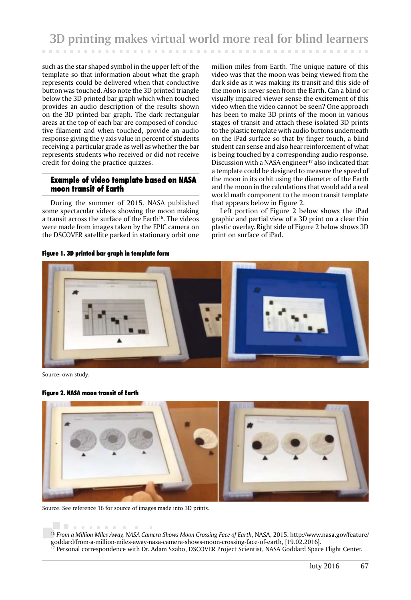such as the star shaped symbol in the upper left of the template so that information about what the graph represents could be delivered when that conductive button was touched. Also note the 3D printed triangle below the 3D printed bar graph which when touched provides an audio description of the results shown on the 3D printed bar graph. The dark rectangular areas at the top of each bar are composed of conductive filament and when touched, provide an audio response giving the y axis value in percent of students receiving a particular grade as well as whether the bar represents students who received or did not receive credit for doing the practice quizzes.

# Example of video template based on NASA moon transit of Earth

During the summer of 2015, NASA published some spectacular videos showing the moon making a transit across the surface of the Earth<sup>16</sup>. The videos were made from images taken by the EPIC camera on the DSCOVER satellite parked in stationary orbit one

Figure 1. 3D printed bar graph in template form

million miles from Earth. The unique nature of this video was that the moon was being viewed from the dark side as it was making its transit and this side of the moon is never seen from the Earth. Can a blind or visually impaired viewer sense the excitement of this video when the video cannot be seen? One approach has been to make 3D prints of the moon in various stages of transit and attach these isolated 3D prints to the plastic template with audio buttons underneath on the iPad surface so that by finger touch, a blind student can sense and also hear reinforcement of what is being touched by a corresponding audio response. Discussion with a NASA engineer<sup>17</sup> also indicated that a template could be designed to measure the speed of the moon in its orbit using the diameter of the Earth and the moon in the calculations that would add a real world math component to the moon transit template that appears below in Figure 2.

Left portion of Figure 2 below shows the iPad graphic and partial view of a 3D print on a clear thin plastic overlay. Right side of Figure 2 below shows 3D print on surface of iPad.



Source: own study.

#### Figure 2. NASA moon transit of Earth



Source: See reference 16 for source of images made into 3D prints.

<sup>. . . . . . . .</sup> 

<sup>16</sup>*From a Million Miles Away, NASA Camera Shows Moon Crossing Face of Earth*, NASA, 2015, http://www.nasa.gov/feature/ goddard/from-a-million-miles-away-nasa-camera-shows-moon-crossing-face-of-earth, [19.02.2016].

<sup>17</sup> Personal correspondence with Dr. Adam Szabo, DSCOVER Project Scientist, NASA Goddard Space Flight Center.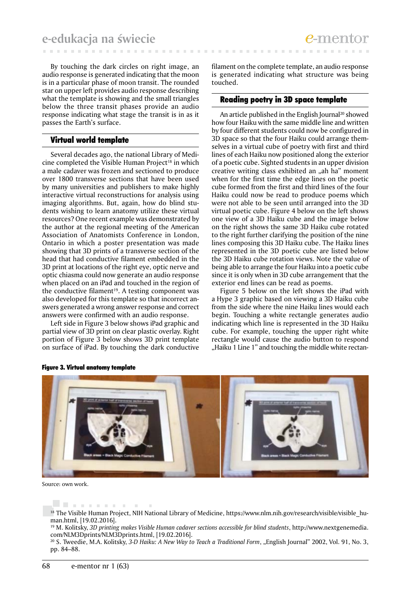By touching the dark circles on right image, an audio response is generated indicating that the moon is in a particular phase of moon transit. The rounded star on upper left provides audio response describing what the template is showing and the small triangles below the three transit phases provide an audio response indicating what stage the transit is in as it passes the Earth's surface.

### Virtual world template

Several decades ago, the national Library of Medicine completed the Visible Human Project<sup>18</sup> in which a male cadaver was frozen and sectioned to produce over 1800 transverse sections that have been used by many universities and publishers to make highly interactive virtual reconstructions for analysis using imaging algorithms. But, again, how do blind students wishing to learn anatomy utilize these virtual resources? One recent example was demonstrated by the author at the regional meeting of the American Association of Anatomists Conference in London, Ontario in which a poster presentation was made showing that 3D prints of a transverse section of the head that had conductive filament embedded in the 3D print at locations of the right eye, optic nerve and optic chiasma could now generate an audio response when placed on an iPad and touched in the region of the conductive filament<sup>19</sup>. A testing component was also developed for this template so that incorrect answers generated a wrong answer response and correct answers were confirmed with an audio response.

Left side in Figure 3 below shows iPad graphic and partial view of 3D print on clear plastic overlay. Right portion of Figure 3 below shows 3D print template on surface of iPad. By touching the dark conductive

**COLLECT** 

filament on the complete template, an audio response is generated indicating what structure was being touched.

### Reading poetry in 3D space template

An article published in the English Journal<sup>20</sup> showed how four Haiku with the same middle line and written by four different students could now be configured in 3D space so that the four Haiku could arrange themselves in a virtual cube of poetry with first and third lines of each Haiku now positioned along the exterior of a poetic cube. Sighted students in an upper division creative writing class exhibited an "ah ha" moment when for the first time the edge lines on the poetic cube formed from the first and third lines of the four Haiku could now be read to produce poems which were not able to be seen until arranged into the 3D virtual poetic cube. Figure 4 below on the left shows one view of a 3D Haiku cube and the image below on the right shows the same 3D Haiku cube rotated to the right further clarifying the position of the nine lines composing this 3D Haiku cube. The Haiku lines represented in the 3D poetic cube are listed below the 3D Haiku cube rotation views. Note the value of being able to arrange the four Haiku into a poetic cube since it is only when in 3D cube arrangement that the exterior end lines can be read as poems.

Figure 5 below on the left shows the iPad with a Hype 3 graphic based on viewing a 3D Haiku cube from the side where the nine Haiku lines would each begin. Touching a white rectangle generates audio indicating which line is represented in the 3D Haiku cube. For example, touching the upper right white rectangle would cause the audio button to respond "Haiku 1 Line 1" and touching the middle white rectan-



#### Figure 3. Virtual anatomy template

Source: own work.

<sup>. . . . . . . . . .</sup> <sup>18</sup> The Visible Human Project, NIH National Library of Medicine, https://www.nlm.nih.gov/research/visible/visible\_human.html, [19.02.2016].

<sup>19</sup> M. Kolitsky, *3D printing makes Visible Human cadaver sections accessible for blind students*, http://www.nextgenemedia. com/NLM3Dprints/NLM3Dprints.html, [19.02.2016].

<sup>&</sup>lt;sup>20</sup> S. Tweedie, M.A. Kolitsky, 3-D Haiku: A New Way to Teach a Traditional Form, "English Journal" 2002, Vol. 91, No. 3, pp. 84–88.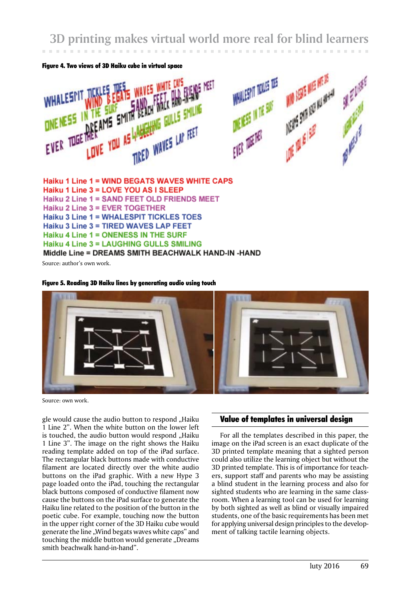**3D printing makes virtual world more real for blind learners**





Source: author's own work.

#### Figure 5. Reading 3D Haiku lines by generating audio using touch



Source: own work.

gle would cause the audio button to respond "Haiku 1 Line 2". When the white button on the lower left is touched, the audio button would respond "Haiku 1 Line 3". The image on the right shows the Haiku reading template added on top of the iPad surface. The rectangular black buttons made with conductive filament are located directly over the white audio buttons on the iPad graphic. With a new Hype 3 page loaded onto the iPad, touching the rectangular black buttons composed of conductive filament now cause the buttons on the iPad surface to generate the Haiku line related to the position of the button in the poetic cube. For example, touching now the button in the upper right corner of the 3D Haiku cube would generate the line "Wind begats waves white caps" and touching the middle button would generate "Dreams smith beachwalk hand-in-hand".

# Value of templates in universal design

For all the templates described in this paper, the image on the iPad screen is an exact duplicate of the 3D printed template meaning that a sighted person could also utilize the learning object but without the 3D printed template. This is of importance for teachers, support staff and parents who may be assisting a blind student in the learning process and also for sighted students who are learning in the same classroom. When a learning tool can be used for learning by both sighted as well as blind or visually impaired students, one of the basic requirements has been met for applying universal design principles to the development of talking tactile learning objects.